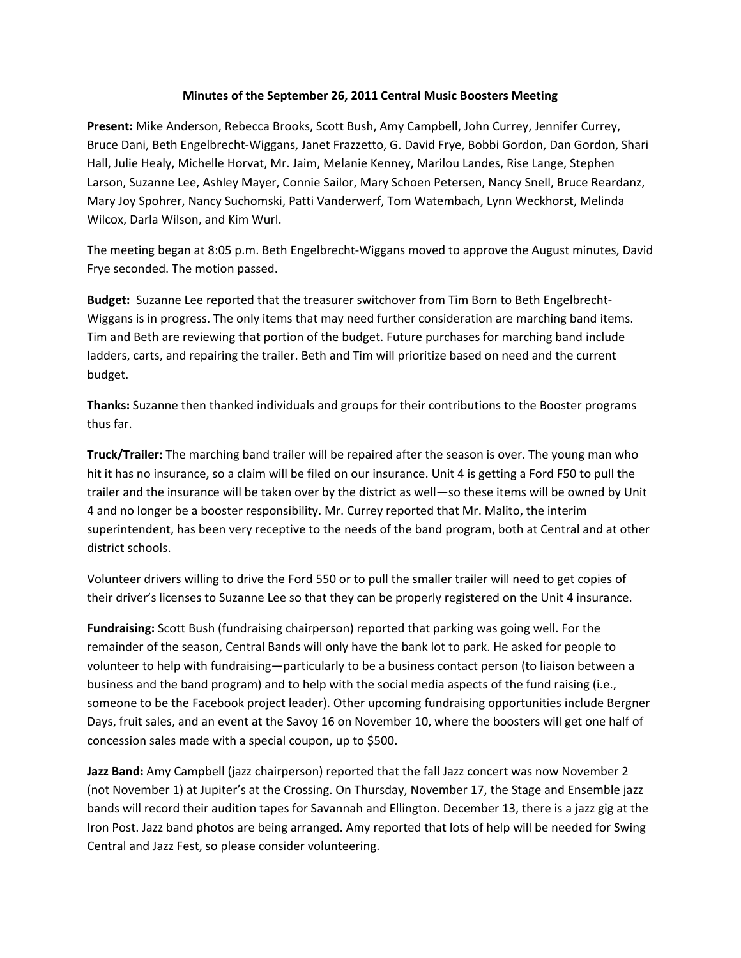## **Minutes of the September 26, 2011 Central Music Boosters Meeting**

**Present:** Mike Anderson, Rebecca Brooks, Scott Bush, Amy Campbell, John Currey, Jennifer Currey, Bruce Dani, Beth Engelbrecht‐Wiggans, Janet Frazzetto, G. David Frye, Bobbi Gordon, Dan Gordon, Shari Hall, Julie Healy, Michelle Horvat, Mr. Jaim, Melanie Kenney, Marilou Landes, Rise Lange, Stephen Larson, Suzanne Lee, Ashley Mayer, Connie Sailor, Mary Schoen Petersen, Nancy Snell, Bruce Reardanz, Mary Joy Spohrer, Nancy Suchomski, Patti Vanderwerf, Tom Watembach, Lynn Weckhorst, Melinda Wilcox, Darla Wilson, and Kim Wurl.

The meeting began at 8:05 p.m. Beth Engelbrecht‐Wiggans moved to approve the August minutes, David Frye seconded. The motion passed.

**Budget:** Suzanne Lee reported that the treasurer switchover from Tim Born to Beth Engelbrecht‐ Wiggans is in progress. The only items that may need further consideration are marching band items. Tim and Beth are reviewing that portion of the budget. Future purchases for marching band include ladders, carts, and repairing the trailer. Beth and Tim will prioritize based on need and the current budget.

**Thanks:** Suzanne then thanked individuals and groups for their contributions to the Booster programs thus far.

**Truck/Trailer:** The marching band trailer will be repaired after the season is over. The young man who hit it has no insurance, so a claim will be filed on our insurance. Unit 4 is getting a Ford F50 to pull the trailer and the insurance will be taken over by the district as well—so these items will be owned by Unit 4 and no longer be a booster responsibility. Mr. Currey reported that Mr. Malito, the interim superintendent, has been very receptive to the needs of the band program, both at Central and at other district schools.

Volunteer drivers willing to drive the Ford 550 or to pull the smaller trailer will need to get copies of their driver's licenses to Suzanne Lee so that they can be properly registered on the Unit 4 insurance.

**Fundraising:** Scott Bush (fundraising chairperson) reported that parking was going well. For the remainder of the season, Central Bands will only have the bank lot to park. He asked for people to volunteer to help with fundraising—particularly to be a business contact person (to liaison between a business and the band program) and to help with the social media aspects of the fund raising (i.e., someone to be the Facebook project leader). Other upcoming fundraising opportunities include Bergner Days, fruit sales, and an event at the Savoy 16 on November 10, where the boosters will get one half of concession sales made with a special coupon, up to \$500.

**Jazz Band:** Amy Campbell (jazz chairperson) reported that the fall Jazz concert was now November 2 (not November 1) at Jupiter's at the Crossing. On Thursday, November 17, the Stage and Ensemble jazz bands will record their audition tapes for Savannah and Ellington. December 13, there is a jazz gig at the Iron Post. Jazz band photos are being arranged. Amy reported that lots of help will be needed for Swing Central and Jazz Fest, so please consider volunteering.